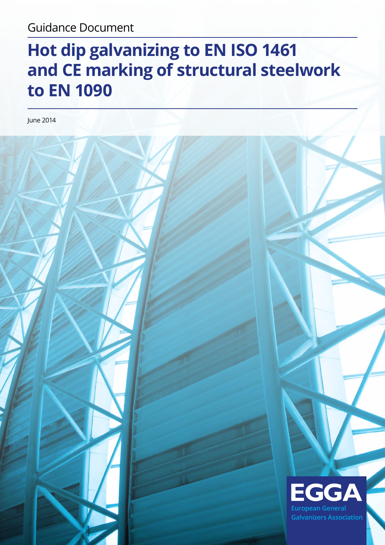# Guidance Document

# **Hot dip galvanizing to EN ISO 1461 and CE marking of structural steelwork to EN 1090**

June 2014

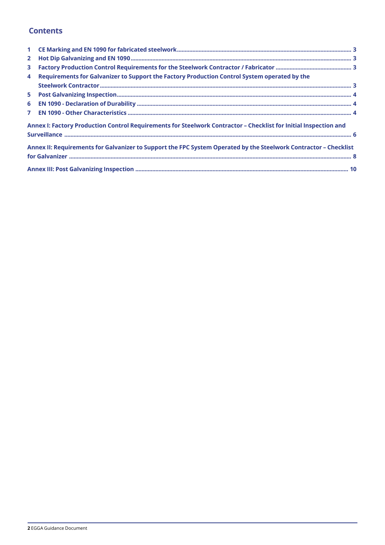# **Contents**

| $\mathbf{1}$   |                                                                                                                  |  |
|----------------|------------------------------------------------------------------------------------------------------------------|--|
| $\overline{2}$ |                                                                                                                  |  |
| 3              |                                                                                                                  |  |
| 4              | Requirements for Galvanizer to Support the Factory Production Control System operated by the                     |  |
|                |                                                                                                                  |  |
| 5              |                                                                                                                  |  |
| 6              |                                                                                                                  |  |
| $\overline{7}$ |                                                                                                                  |  |
|                | Annex I: Factory Production Control Requirements for Steelwork Contractor - Checklist for Initial Inspection and |  |
|                |                                                                                                                  |  |
|                | Annex II: Requirements for Galvanizer to Support the FPC System Operated by the Steelwork Contractor - Checklist |  |
|                |                                                                                                                  |  |
|                |                                                                                                                  |  |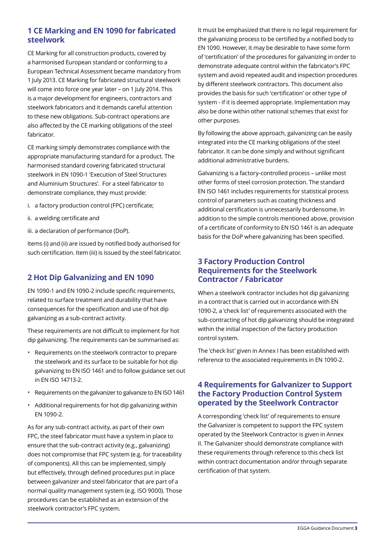### **1 CE Marking and EN 1090 for fabricated steelwork**

CE Marking for all construction products, covered by a harmonised European standard or conforming to a European Technical Assessment became mandatory from 1 July 2013. CE Marking for fabricated structural steelwork will come into force one year later – on 1 July 2014. This is a major development for engineers, contractors and steelwork fabricators and it demands careful attention to these new obligations. Sub-contract operations are also affected by the CE marking obligations of the steel fabricator.

CE marking simply demonstrates compliance with the appropriate manufacturing standard for a product. The harmonised standard covering fabricated structural steelwork in EN 1090-1 'Execution of Steel Structures and Aluminium Structures'. For a steel fabricator to demonstrate compliance, they must provide:

- i. a factory production control (FPC) certificate;
- ii. a welding certificate and
- iii. a declaration of performance (DoP).

Items (i) and (ii) are issued by notified body authorised for such certification. Item (iii) is issued by the steel fabricator.

### **2 Hot Dip Galvanizing and EN 1090**

EN 1090-1 and EN 1090-2 include specific requirements, related to surface treatment and durability that have consequences for the specification and use of hot dip galvanizing as a sub-contract activity.

These requirements are not difficult to implement for hot dip galvanizing. The requirements can be summarised as:

- Requirements on the steelwork contractor to prepare the steelwork and its surface to be suitable for hot dip galvanizing to EN ISO 1461 and to follow guidance set out in EN ISO 14713-2.
- Requirements on the galvanizer to galvanize to EN ISO 1461
- Additional requirements for hot dip galvanizing within EN 1090-2.

As for any sub-contract activity, as part of their own FPC, the steel fabricator must have a system in place to ensure that the sub-contract activity (e.g., galvanizing) does not compromise that FPC system (e.g. for traceability of components). All this can be implemented, simply but effectively, through defined procedures put in place between galvanizer and steel fabricator that are part of a normal quality management system (e.g. ISO 9000). Those procedures can be established as an extension of the steelwork contractor's FPC system.

It must be emphasized that there is no legal requirement for the galvanizing process to be certified by a notified body to EN 1090. However, it may be desirable to have some form of 'certification' of the procedures for galvanizing in order to demonstrate adequate control within the fabricator's FPC system and avoid repeated audit and inspection procedures by different steelwork contractors. This document also provides the basis for such 'certification' or other type of system - if it is deemed appropriate. Implementation may also be done within other national schemes that exist for other purposes.

By following the above approach, galvanizing can be easily integrated into the CE marking obligations of the steel fabricator. It can be done simply and without significant additional administrative burdens.

Galvanizing is a factory-controlled process – unlike most other forms of steel corrosion protection. The standard EN ISO 1461 includes requirements for statistical process control of parameters such as coating thickness and additional certification is unnecessarily burdensome. In addition to the simple controls mentioned above, provision of a certificate of conformity to EN ISO 1461 is an adequate basis for the DoP where galvanizing has been specified.

#### **3 Factory Production Control Requirements for the Steelwork Contractor / Fabricator**

When a steelwork contractor includes hot dip galvanizing in a contract that is carried out in accordance with EN 1090-2, a 'check list' of requirements associated with the sub-contracting of hot dip galvanizing should be integrated within the initial inspection of the factory production control system.

The 'check list' given in Annex I has been established with reference to the associated requirements in EN 1090-2.

#### **4 Requirements for Galvanizer to Support the Factory Production Control System operated by the Steelwork Contractor**

A corresponding 'check list' of requirements to ensure the Galvanizer is competent to support the FPC system operated by the Steelwork Contractor is given in Annex II. The Galvanizer should demonstrate compliance with these requirements through reference to this check list within contract documentation and/or through separate certification of that system.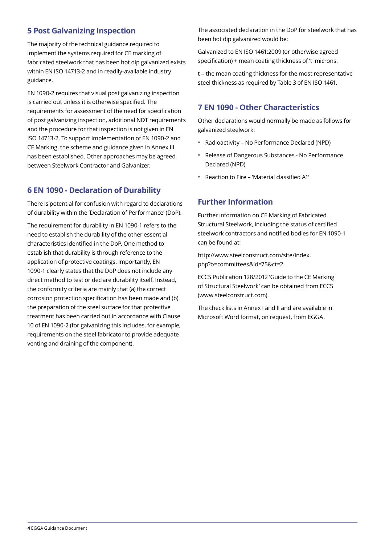# **5 Post Galvanizing Inspection**

The majority of the technical guidance required to implement the systems required for CE marking of fabricated steelwork that has been hot dip galvanized exists within EN ISO 14713-2 and in readily-available industry guidance.

EN 1090-2 requires that visual post galvanizing inspection is carried out unless it is otherwise specified. The requirements for assessment of the need for specification of post galvanizing inspection, additional NDT requirements and the procedure for that inspection is not given in EN ISO 14713-2. To support implementation of EN 1090-2 and CE Marking, the scheme and guidance given in Annex III has been established. Other approaches may be agreed between Steelwork Contractor and Galvanizer.

### **6 EN 1090 - Declaration of Durability**

There is potential for confusion with regard to declarations of durability within the 'Declaration of Performance' (DoP).

The requirement for durability in EN 1090-1 refers to the need to establish the durability of the other essential characteristics identified in the DoP. One method to establish that durability is through reference to the application of protective coatings. Importantly, EN 1090-1 clearly states that the DoP does not include any direct method to test or declare durability itself. Instead, the conformity criteria are mainly that (a) the correct corrosion protection specification has been made and (b) the preparation of the steel surface for that protective treatment has been carried out in accordance with Clause 10 of EN 1090-2 (for galvanizing this includes, for example, requirements on the steel fabricator to provide adequate venting and draining of the component).

The associated declaration in the DoP for steelwork that has been hot dip galvanized would be:

Galvanized to EN ISO 1461:2009 (or otherwise agreed specification) + mean coating thickness of 't' microns.

t = the mean coating thickness for the most representative steel thickness as required by Table 3 of EN ISO 1461.

#### **7 EN 1090 - Other Characteristics**

Other declarations would normally be made as follows for galvanized steelwork:

- Radioactivity No Performance Declared (NPD)
- Release of Dangerous Substances No Performance Declared (NPD)
- Reaction to Fire 'Material classified A1'

#### **Further Information**

Further information on CE Marking of Fabricated Structural Steelwork, including the status of certified steelwork contractors and notified bodies for EN 1090-1 can be found at:

http://www.steelconstruct.com/site/index. php?o=committees&id=75&ct=2

ECCS Publication 128/2012 'Guide to the CE Marking of Structural Steelwork' can be obtained from ECCS (www.steelconstruct.com).

The check lists in Annex I and II and are available in Microsoft Word format, on request, from EGGA.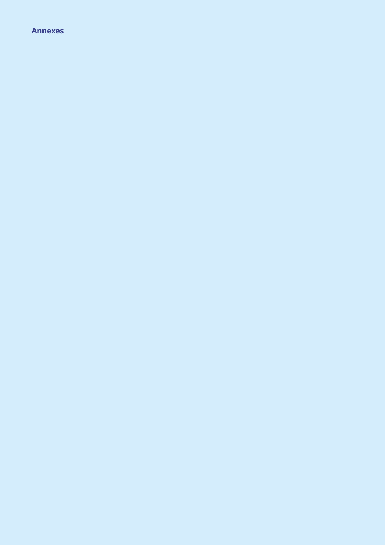#### **Annexes**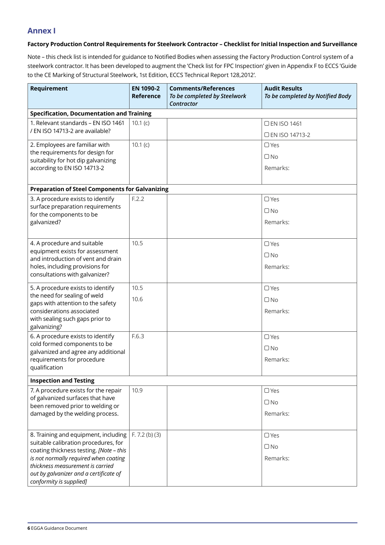#### **Annex I**

#### **Factory Production Control Requirements for Steelwork Contractor – Checklist for Initial Inspection and Surveillance**

Note – this check list is intended for guidance to Notified Bodies when assessing the Factory Production Control system of a steelwork contractor. It has been developed to augment the 'Check list for FPC Inspection' given in Appendix F to ECCS 'Guide to the CE Marking of Structural Steelwork, 1st Edition, ECCS Technical Report 128,2012'.

| Requirement                                                                     | EN 1090-2<br><b>Reference</b> | <b>Comments/References</b><br>To be completed by Steelwork<br>Contractor | <b>Audit Results</b><br>To be completed by Notified Body |
|---------------------------------------------------------------------------------|-------------------------------|--------------------------------------------------------------------------|----------------------------------------------------------|
| <b>Specification, Documentation and Training</b>                                |                               |                                                                          |                                                          |
| 1. Relevant standards - EN ISO 1461<br>/ EN ISO 14713-2 are available?          | 10.1(c)                       |                                                                          | □ EN ISO 1461                                            |
|                                                                                 |                               |                                                                          | □ EN ISO 14713-2                                         |
| 2. Employees are familiar with                                                  | 10.1(c)                       |                                                                          | $\Box$ Yes                                               |
| the requirements for design for<br>suitability for hot dip galvanizing          |                               |                                                                          | $\Box$ No                                                |
| according to EN ISO 14713-2                                                     |                               |                                                                          | Remarks:                                                 |
|                                                                                 |                               |                                                                          |                                                          |
| <b>Preparation of Steel Components for Galvanizing</b>                          |                               |                                                                          |                                                          |
| 3. A procedure exists to identify<br>surface preparation requirements           | F.2.2                         |                                                                          | $\Box$ Yes                                               |
| for the components to be                                                        |                               |                                                                          | $\Box$ No                                                |
| galvanized?                                                                     |                               |                                                                          | Remarks:                                                 |
| 4. A procedure and suitable                                                     | 10.5                          |                                                                          | $\Box$ Yes                                               |
| equipment exists for assessment<br>and introduction of vent and drain           |                               |                                                                          | $\Box$ No                                                |
| holes, including provisions for                                                 |                               |                                                                          | Remarks:                                                 |
| consultations with galvanizer?                                                  |                               |                                                                          |                                                          |
| 5. A procedure exists to identify                                               | 10.5                          |                                                                          | $\Box$ Yes                                               |
| the need for sealing of weld<br>gaps with attention to the safety               | 10.6                          |                                                                          | $\Box$ No                                                |
| considerations associated                                                       |                               |                                                                          | Remarks:                                                 |
| with sealing such gaps prior to<br>galvanizing?                                 |                               |                                                                          |                                                          |
| 6. A procedure exists to identify                                               | F.6.3                         |                                                                          | $\Box$ Yes                                               |
| cold formed components to be<br>galvanized and agree any additional             |                               |                                                                          | $\Box$ No                                                |
| requirements for procedure                                                      |                               |                                                                          | Remarks:                                                 |
| qualification                                                                   |                               |                                                                          |                                                          |
| <b>Inspection and Testing</b>                                                   |                               |                                                                          |                                                          |
| 7. A procedure exists for the repair                                            | 10.9                          |                                                                          | $\Box$ Yes                                               |
| of galvanized surfaces that have<br>been removed prior to welding or            |                               |                                                                          | $\Box$ No                                                |
| damaged by the welding process.                                                 |                               |                                                                          | Remarks:                                                 |
|                                                                                 |                               |                                                                          |                                                          |
| 8. Training and equipment, including                                            | F. 7.2 (b) (3)                |                                                                          | $\Box$ Yes                                               |
| suitable calibration procedures, for<br>coating thickness testing. [Note - this |                               |                                                                          | $\Box$ No                                                |
| is not normally required when coating                                           |                               |                                                                          | Remarks:                                                 |
| thickness measurement is carried                                                |                               |                                                                          |                                                          |
| out by galvanizer and a certificate of<br>conformity is supplied]               |                               |                                                                          |                                                          |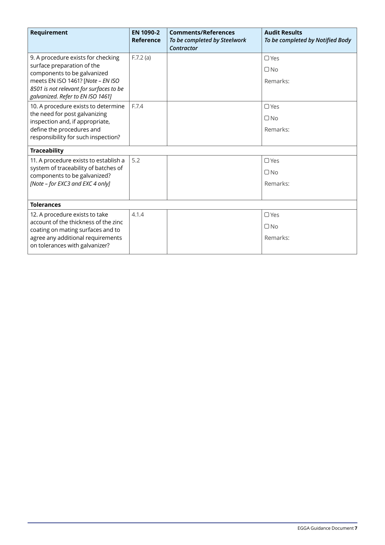| <b>Requirement</b>                                                           | EN 1090-2<br>Reference | <b>Comments/References</b><br>To be completed by Steelwork<br>Contractor | <b>Audit Results</b><br>To be completed by Notified Body |
|------------------------------------------------------------------------------|------------------------|--------------------------------------------------------------------------|----------------------------------------------------------|
| 9. A procedure exists for checking<br>surface preparation of the             | F.7.2(a)               |                                                                          | $\Box Yes$                                               |
| components to be galvanized                                                  |                        |                                                                          | $\Box$ No                                                |
| meets EN ISO 1461? [Note - EN ISO                                            |                        |                                                                          | Remarks:                                                 |
| 8501 is not relevant for surfaces to be<br>galvanized. Refer to EN ISO 1461] |                        |                                                                          |                                                          |
| 10. A procedure exists to determine                                          | F.7.4                  |                                                                          | $\Box$ Yes                                               |
| the need for post galvanizing<br>inspection and, if appropriate,             |                        |                                                                          | $\Box$ No                                                |
| define the procedures and                                                    |                        |                                                                          | Remarks:                                                 |
| responsibility for such inspection?                                          |                        |                                                                          |                                                          |
| <b>Traceability</b>                                                          |                        |                                                                          |                                                          |
| 11. A procedure exists to establish a                                        | 5.2                    |                                                                          | $\Box$ Yes                                               |
| system of traceability of batches of<br>components to be galvanized?         |                        |                                                                          | $\Box$ No                                                |
| [Note - for EXC3 and EXC 4 only]                                             |                        |                                                                          | Remarks:                                                 |
|                                                                              |                        |                                                                          |                                                          |
| <b>Tolerances</b>                                                            |                        |                                                                          |                                                          |
| 12. A procedure exists to take                                               | 4.1.4                  |                                                                          | $\Box$ Yes                                               |
| account of the thickness of the zinc<br>coating on mating surfaces and to    |                        |                                                                          | $\Box$ No                                                |
| agree any additional requirements<br>on tolerances with galvanizer?          |                        |                                                                          | Remarks:                                                 |
|                                                                              |                        |                                                                          |                                                          |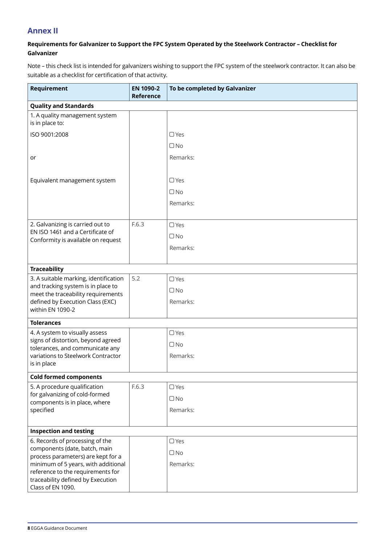### **Annex II**

#### **Requirements for Galvanizer to Support the FPC System Operated by the Steelwork Contractor – Checklist for Galvanizer**

Note – this check list is intended for galvanizers wishing to support the FPC system of the steelwork contractor. It can also be suitable as a checklist for certification of that activity.

| Requirement                                                              | EN 1090-2<br>Reference | To be completed by Galvanizer |
|--------------------------------------------------------------------------|------------------------|-------------------------------|
| <b>Quality and Standards</b>                                             |                        |                               |
| 1. A quality management system<br>is in place to:                        |                        |                               |
| ISO 9001:2008                                                            |                        | $\Box$ Yes                    |
|                                                                          |                        | $\Box$ No                     |
| or                                                                       |                        | Remarks:                      |
| Equivalent management system                                             |                        | $\Box$ Yes                    |
|                                                                          |                        | $\Box$ No                     |
|                                                                          |                        | Remarks:                      |
| 2. Galvanizing is carried out to                                         | F.6.3                  | $\Box$ Yes                    |
| EN ISO 1461 and a Certificate of                                         |                        | $\Box$ No                     |
| Conformity is available on request                                       |                        | Remarks:                      |
|                                                                          |                        |                               |
| <b>Traceability</b>                                                      |                        |                               |
| 3. A suitable marking, identification                                    | 5.2                    | $\Box$ Yes                    |
| and tracking system is in place to<br>meet the traceability requirements |                        | $\Box$ No                     |
| defined by Execution Class (EXC)                                         |                        | Remarks:                      |
| within EN 1090-2                                                         |                        |                               |
| <b>Tolerances</b>                                                        |                        |                               |
| 4. A system to visually assess                                           |                        | $\Box$ Yes                    |
| signs of distortion, beyond agreed<br>tolerances, and communicate any    |                        | $\Box$ No                     |
| variations to Steelwork Contractor                                       |                        | Remarks:                      |
| is in place                                                              |                        |                               |
| <b>Cold formed components</b>                                            |                        |                               |
| 5. A procedure qualification                                             | F.6.3                  | $\Box$ Yes                    |
| for galvanizing of cold-formed<br>components is in place, where          |                        | $\Box$ No                     |
| specified                                                                |                        | Remarks:                      |
|                                                                          |                        |                               |
| <b>Inspection and testing</b>                                            |                        |                               |
| 6. Records of processing of the                                          |                        | $\Box$ Yes                    |
| components (date, batch, main<br>process parameters) are kept for a      |                        | $\Box$ No                     |
| minimum of 5 years, with additional                                      |                        | Remarks:                      |
| reference to the requirements for<br>traceability defined by Execution   |                        |                               |
| Class of EN 1090.                                                        |                        |                               |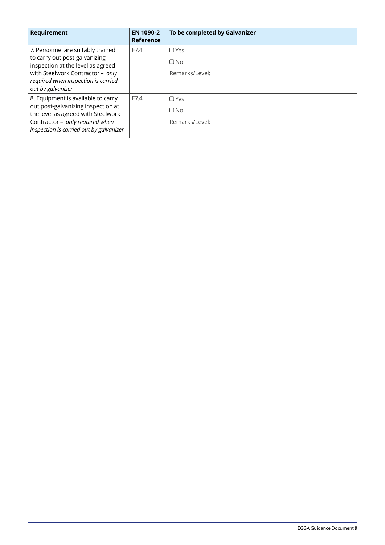| Requirement                                                                                                                                                                                             | EN 1090-2<br>Reference | To be completed by Galvanizer             |
|---------------------------------------------------------------------------------------------------------------------------------------------------------------------------------------------------------|------------------------|-------------------------------------------|
| 7. Personnel are suitably trained<br>to carry out post-galvanizing<br>inspection at the level as agreed<br>with Steelwork Contractor - only<br>required when inspection is carried<br>out by galvanizer | F7.4                   | $\Box$ Yes<br>$\Box$ No<br>Remarks/Level: |
| 8. Equipment is available to carry<br>out post-galvanizing inspection at<br>the level as agreed with Steelwork<br>Contractor - only required when<br>inspection is carried out by galvanizer            | F7.4                   | $\Box$ Yes<br>$\Box$ No<br>Remarks/Level: |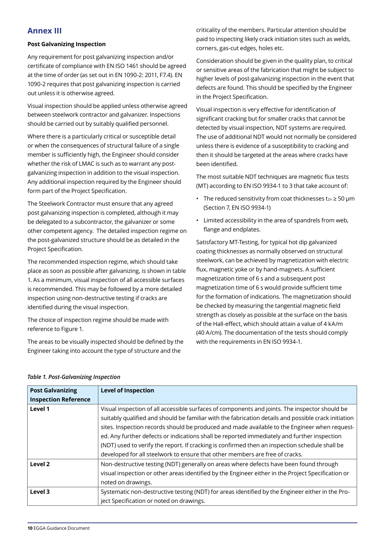### **Annex III**

#### **Post Galvanizing Inspection**

Any requirement for post galvanizing inspection and/or certificate of compliance with EN ISO 1461 should be agreed at the time of order (as set out in EN 1090-2: 2011, F7.4). EN 1090-2 requires that post galvanizing inspection is carried out unless it is otherwise agreed.

Visual inspection should be applied unless otherwise agreed between steelwork contractor and galvanizer. Inspections should be carried out by suitably qualified personnel.

Where there is a particularly critical or susceptible detail or when the consequences of structural failure of a single member is sufficiently high, the Engineer should consider whether the risk of LMAC is such as to warrant any postgalvanizing inspection in addition to the visual inspection. Any additional inspection required by the Engineer should form part of the Project Specification.

The Steelwork Contractor must ensure that any agreed post galvanizing inspection is completed, although it may be delegated to a subcontractor, the galvanizer or some other competent agency. The detailed inspection regime on the post-galvanized structure should be as detailed in the Project Specification.

The recommended inspection regime, which should take place as soon as possible after galvanizing, is shown in table 1. As a minimum, visual inspection of all accessible surfaces is recommended. This may be followed by a more detailed inspection using non-destructive testing if cracks are identified during the visual inspection.

The choice of inspection regime should be made with reference to Figure 1.

The areas to be visually inspected should be defined by the Engineer taking into account the type of structure and the

criticality of the members. Particular attention should be paid to inspecting likely crack initiation sites such as welds, corners, gas-cut edges, holes etc.

Consideration should be given in the quality plan, to critical or sensitive areas of the fabrication that might be subject to higher levels of post-galvanizing inspection in the event that defects are found. This should be specified by the Engineer in the Project Specification.

Visual inspection is very effective for identification of significant cracking but for smaller cracks that cannot be detected by visual inspection, NDT systems are required. The use of additional NDT would not normally be considered unless there is evidence of a susceptibility to cracking and then it should be targeted at the areas where cracks have been identified.

The most suitable NDT techniques are magnetic flux tests (MT) according to EN ISO 9934-1 to 3 that take account of:

- The reduced sensitivity from coat thicknesses tzn  $\geq$  50  $\mu$ m (Section 7, EN ISO 9934-1)
- Limited accessibility in the area of spandrels from web, flange and endplates.

Satisfactory MT-Testing, for typical hot dip galvanized coating thicknesses as normally observed on structural steelwork, can be achieved by magnetization with electric flux, magnetic yoke or by hand-magnets. A sufficient magnetization time of 6 s and a subsequent post magnetization time of 6 s would provide sufficient time for the formation of indications. The magnetization should be checked by measuring the tangential magnetic field strength as closely as possible at the surface on the basis of the Hall-effect, which should attain a value of 4 kA/m (40 A/cm). The documentation of the tests should comply with the requirements in EN ISO 9934-1.

| <b>Post Galvanizing</b>     | <b>Level of Inspection</b>                                                                                                                                                                                                                                                                                                                                                                             |
|-----------------------------|--------------------------------------------------------------------------------------------------------------------------------------------------------------------------------------------------------------------------------------------------------------------------------------------------------------------------------------------------------------------------------------------------------|
| <b>Inspection Reference</b> |                                                                                                                                                                                                                                                                                                                                                                                                        |
| Level 1                     | Visual inspection of all accessible surfaces of components and joints. The inspector should be<br>suitably qualified and should be familiar with the fabrication details and possible crack initiation<br>sites. Inspection records should be produced and made available to the Engineer when request-<br>ed. Any further defects or indications shall be reported immediately and further inspection |
|                             | (NDT) used to verify the report. If cracking is confirmed then an inspection schedule shall be<br>developed for all steelwork to ensure that other members are free of cracks.                                                                                                                                                                                                                         |
| Level 2                     | Non-destructive testing (NDT) generally on areas where defects have been found through<br>visual inspection or other areas identified by the Engineer either in the Project Specification or<br>noted on drawings.                                                                                                                                                                                     |
| Level 3                     | Systematic non-destructive testing (NDT) for areas identified by the Engineer either in the Pro-<br>ject Specification or noted on drawings.                                                                                                                                                                                                                                                           |

#### *Table 1. Post-Galvanizing Inspection*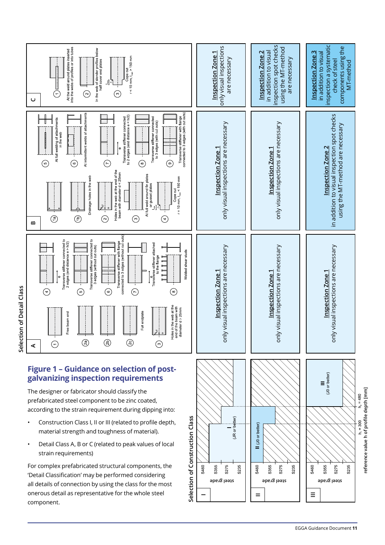

\$460

S355 S275 S235

• Detail Class A, B or C (related to peak values of local strain requirements)

For complex prefabricated structural components, the 'Detail Classification' may be performed considering all details of connection by using the class for the most onerous detail as representative for the whole steel component.

S275 S235

S355

 $\equiv$ 

S460

**steel grade steel grade steel grade**

S275

S235

 $=$ 

S460 S355